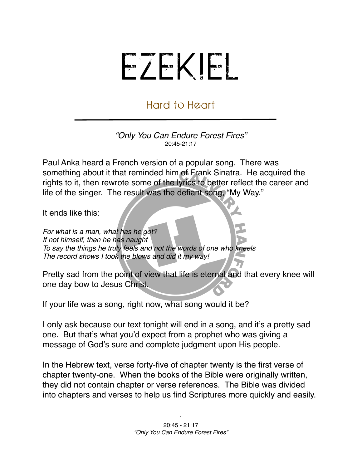## EZEKIEL

## Hard to Heart

*"Only You Can Endure Forest Fires"* 20:45-21:17

Paul Anka heard a French version of a popular song. There was something about it that reminded him of Frank Sinatra. He acquired the rights to it, then rewrote some of the lyrics to better reflect the career and life of the singer. The result was the defiant song, "My Way."

It ends like this:

*For what is a man, what has he got? If not himself, then he has naught To say the things he truly feels and not the words of one who kneels The record shows I took the blows and did it my way!*

Pretty sad from the point of view that life is eternal and that every knee will one day bow to Jesus Christ.

If your life was a song, right now, what song would it be?

I only ask because our text tonight will end in a song, and it's a pretty sad one. But that's what you'd expect from a prophet who was giving a message of God's sure and complete judgment upon His people.

In the Hebrew text, verse forty-five of chapter twenty is the first verse of chapter twenty-one. When the books of the Bible were originally written, they did not contain chapter or verse references. The Bible was divided into chapters and verses to help us find Scriptures more quickly and easily.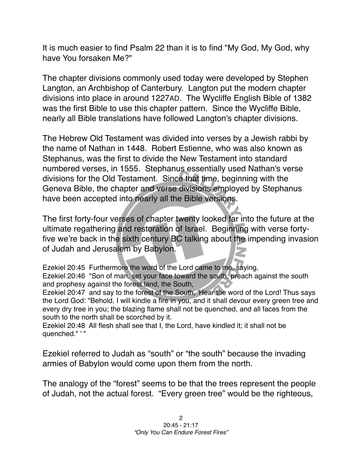It is much easier to find Psalm 22 than it is to find "My God, My God, why have You forsaken Me?"

The chapter divisions commonly used today were developed by Stephen Langton, an Archbishop of Canterbury. Langton put the modern chapter divisions into place in around 1227AD. The Wycliffe English Bible of 1382 was the first Bible to use this chapter pattern. Since the Wycliffe Bible, nearly all Bible translations have followed Langton's chapter divisions.

The Hebrew Old Testament was divided into verses by a Jewish rabbi by the name of Nathan in 1448. Robert Estienne, who was also known as Stephanus, was the first to divide the New Testament into standard numbered verses, in 1555. Stephanus essentially used Nathan's verse divisions for the Old Testament. Since that time, beginning with the Geneva Bible, the chapter and verse divisions employed by Stephanus have been accepted into nearly all the Bible versions.

The first forty-four verses of chapter twenty looked far into the future at the ultimate regathering and restoration of Israel. Beginning with verse fortyfive we're back in the sixth century BC talking about the impending invasion of Judah and Jerusalem by Babylon.

Ezekiel 20:45 Furthermore the word of the Lord came to me, saying, Ezekiel 20:46 "Son of man, set your face toward the south; preach against the south and prophesy against the forest land, the South,

Ezekiel 20:47 and say to the forest of the South, 'Hear the word of the Lord! Thus says the Lord God: "Behold, I will kindle a fire in you, and it shall devour every green tree and every dry tree in you; the blazing flame shall not be quenched, and all faces from the south to the north shall be scorched by it.

Ezekiel 20:48 All flesh shall see that I, the Lord, have kindled it; it shall not be quenched." ' "

Ezekiel referred to Judah as "south" or "the south" because the invading armies of Babylon would come upon them from the north.

The analogy of the "forest" seems to be that the trees represent the people of Judah, not the actual forest. "Every green tree" would be the righteous,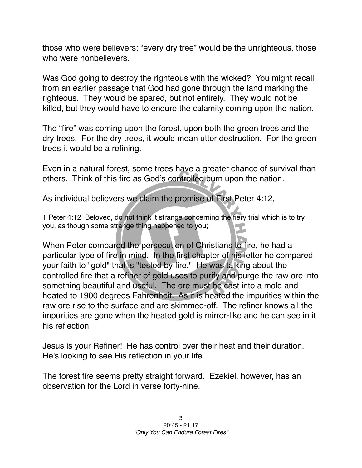those who were believers; "every dry tree" would be the unrighteous, those who were nonbelievers.

Was God going to destroy the righteous with the wicked? You might recall from an earlier passage that God had gone through the land marking the righteous. They would be spared, but not entirely. They would not be killed, but they would have to endure the calamity coming upon the nation.

The "fire" was coming upon the forest, upon both the green trees and the dry trees. For the dry trees, it would mean utter destruction. For the green trees it would be a refining.

Even in a natural forest, some trees have a greater chance of survival than others. Think of this fire as God's controlled burn upon the nation.

As individual believers we claim the promise of First Peter 4:12,

1 Peter 4:12 Beloved, do not think it strange concerning the fiery trial which is to try you, as though some strange thing happened to you;

When Peter compared the persecution of Christians to fire, he had a particular type of fire in mind. In the first chapter of his letter he compared your faith to "gold" that is "tested by fire." He was talking about the controlled fire that a refiner of gold uses to purify and purge the raw ore into something beautiful and useful. The ore must be cast into a mold and heated to 1900 degrees Fahrenheit. As it is heated the impurities within the raw ore rise to the surface and are skimmed-off. The refiner knows all the impurities are gone when the heated gold is mirror-like and he can see in it his reflection.

Jesus is your Refiner! He has control over their heat and their duration. He's looking to see His reflection in your life.

The forest fire seems pretty straight forward. Ezekiel, however, has an observation for the Lord in verse forty-nine.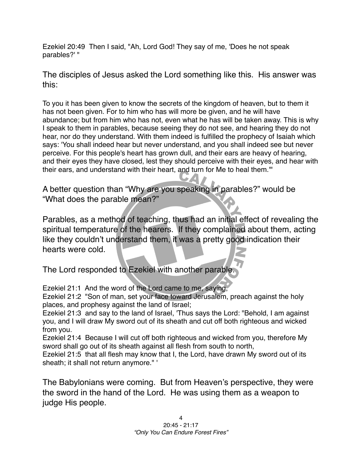Ezekiel 20:49 Then I said, "Ah, Lord God! They say of me, 'Does he not speak parables?' "

The disciples of Jesus asked the Lord something like this. His answer was this:

To you it has been given to know the secrets of the kingdom of heaven, but to them it has not been given. For to him who has will more be given, and he will have abundance; but from him who has not, even what he has will be taken away. This is why I speak to them in parables, because seeing they do not see, and hearing they do not hear, nor do they understand. With them indeed is fulfilled the prophecy of Isaiah which says: 'You shall indeed hear but never understand, and you shall indeed see but never perceive. For this people's heart has grown dull, and their ears are heavy of hearing, and their eyes they have closed, lest they should perceive with their eyes, and hear with their ears, and understand with their heart, and turn for Me to heal them.'"

A better question than "Why are you speaking in parables?" would be "What does the parable mean?"

Parables, as a method of teaching, thus had an initial effect of revealing the spiritual temperature of the hearers. If they complained about them, acting like they couldn't understand them, it was a pretty good indication their hearts were cold.

The Lord responded to Ezekiel with another parable.

Ezekiel 21:1 And the word of the Lord came to me, saying,

Ezekiel 21:2 "Son of man, set your face toward Jerusalem, preach against the holy places, and prophesy against the land of Israel;

Ezekiel 21:3 and say to the land of Israel, 'Thus says the Lord: "Behold, I am against you, and I will draw My sword out of its sheath and cut off both righteous and wicked from you.

Ezekiel 21:4 Because I will cut off both righteous and wicked from you, therefore My sword shall go out of its sheath against all flesh from south to north,

Ezekiel 21:5 that all flesh may know that I, the Lord, have drawn My sword out of its sheath; it shall not return anymore." '

The Babylonians were coming. But from Heaven's perspective, they were the sword in the hand of the Lord. He was using them as a weapon to judge His people.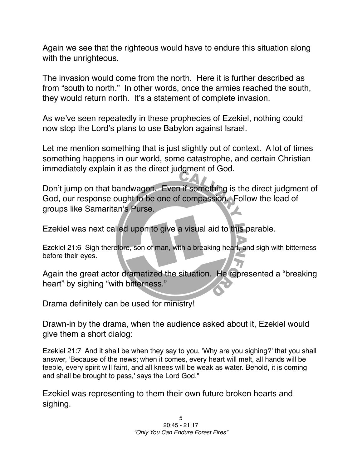Again we see that the righteous would have to endure this situation along with the unrighteous.

The invasion would come from the north. Here it is further described as from "south to north." In other words, once the armies reached the south, they would return north. It's a statement of complete invasion.

As we've seen repeatedly in these prophecies of Ezekiel, nothing could now stop the Lord's plans to use Babylon against Israel.

Let me mention something that is just slightly out of context. A lot of times something happens in our world, some catastrophe, and certain Christian immediately explain it as the direct judgment of God.

Don't jump on that bandwagon. Even if something is the direct judgment of God, our response ought to be one of compassion. Follow the lead of groups like Samaritan's Purse.

Ezekiel was next called upon to give a visual aid to this parable.

Ezekiel 21:6 Sigh therefore, son of man, with a breaking heart, and sigh with bitterness before their eyes.

Again the great actor dramatized the situation. He represented a "breaking heart" by sighing "with bitterness."

Drama definitely can be used for ministry!

Drawn-in by the drama, when the audience asked about it, Ezekiel would give them a short dialog:

Ezekiel 21:7 And it shall be when they say to you, 'Why are you sighing?' that you shall answer, 'Because of the news; when it comes, every heart will melt, all hands will be feeble, every spirit will faint, and all knees will be weak as water. Behold, it is coming and shall be brought to pass,' says the Lord God."

Ezekiel was representing to them their own future broken hearts and sighing.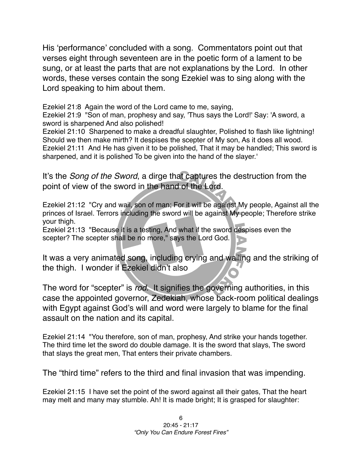His ʻperformance' concluded with a song. Commentators point out that verses eight through seventeen are in the poetic form of a lament to be sung, or at least the parts that are not explanations by the Lord. In other words, these verses contain the song Ezekiel was to sing along with the Lord speaking to him about them.

Ezekiel 21:8 Again the word of the Lord came to me, saying,

Ezekiel 21:9 "Son of man, prophesy and say, 'Thus says the Lord!' Say: 'A sword, a sword is sharpened And also polished!

Ezekiel 21:10 Sharpened to make a dreadful slaughter, Polished to flash like lightning! Should we then make mirth? It despises the scepter of My son, As it does all wood. Ezekiel 21:11 And He has given it to be polished, That it may be handled; This sword is sharpened, and it is polished To be given into the hand of the slayer.'

It's the *Song of the Sword*, a dirge that captures the destruction from the point of view of the sword in the hand of the Lord.

Ezekiel 21:12 "Cry and wail, son of man; For it will be against My people, Against all the princes of Israel. Terrors including the sword will be against My people; Therefore strike your thigh.

Ezekiel 21:13 "Because it is a testing, And what if the sword despises even the scepter? The scepter shall be no more," says the Lord God.

It was a very animated song, including crying and wailing and the striking of the thigh. I wonder if Ezekiel didn't also

The word for "scepter" is *rod*. It signifies the governing authorities, in this case the appointed governor, Zedekiah, whose back-room political dealings with Egypt against God's will and word were largely to blame for the final assault on the nation and its capital.

Ezekiel 21:14 "You therefore, son of man, prophesy, And strike your hands together. The third time let the sword do double damage. It is the sword that slays, The sword that slays the great men, That enters their private chambers.

The "third time" refers to the third and final invasion that was impending.

Ezekiel 21:15 I have set the point of the sword against all their gates, That the heart may melt and many may stumble. Ah! It is made bright; It is grasped for slaughter: